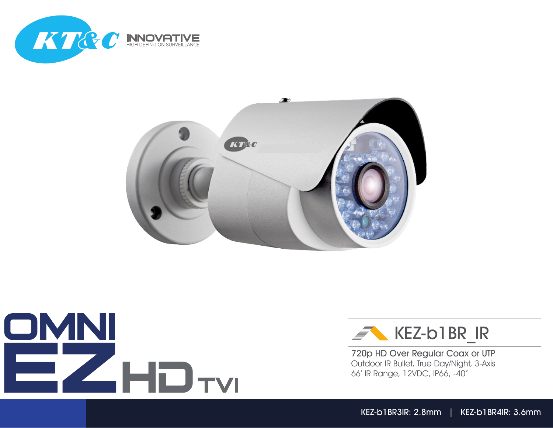







720p HD Over Regular Coax or UTP Outdoor IR Bullet, True Day/Night, 3-Axis 66' IR Range, 12VDC, IP66, -40°

KEZ-b1BR3IR: 2.8mm | KEZ-b1BR4IR: 3.6mm